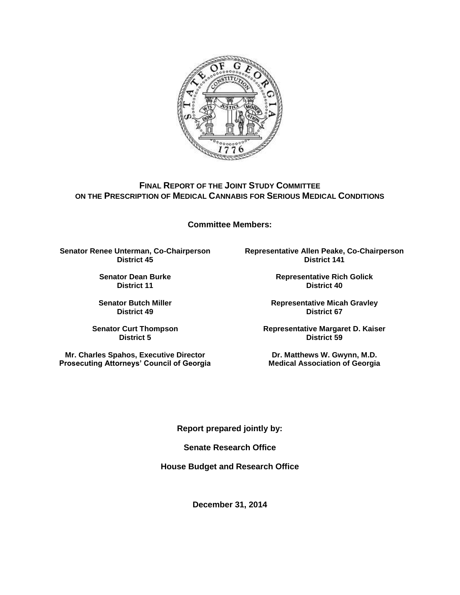

## **FINAL REPORT OF THE JOINT STUDY COMMITTEE ON THE PRESCRIPTION OF MEDICAL CANNABIS FOR SERIOUS MEDICAL CONDITIONS**

**Committee Members:**

**Senator Renee Unterman, Co-Chairperson District 45**

> **Senator Dean Burke District 11**

**Senator Butch Miller District 49**

**Senator Curt Thompson District 5**

**Mr. Charles Spahos, Executive Director Prosecuting Attorneys' Council of Georgia** **Representative Allen Peake, Co-Chairperson District 141**

> **Representative Rich Golick District 40**

**Representative Micah Gravley District 67**

**Representative Margaret D. Kaiser District 59**

**Dr. Matthews W. Gwynn, M.D. Medical Association of Georgia**

**Report prepared jointly by:**

**Senate Research Office**

**House Budget and Research Office**

**December 31, 2014**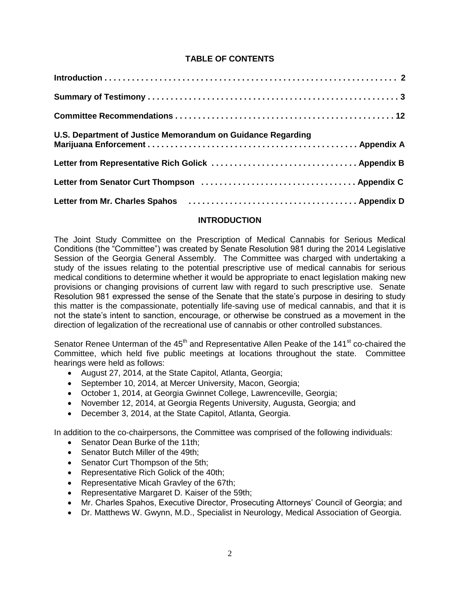## **TABLE OF CONTENTS**

| U.S. Department of Justice Memorandum on Guidance Regarding                      |  |
|----------------------------------------------------------------------------------|--|
|                                                                                  |  |
|                                                                                  |  |
| Letter from Mr. Charles Spahos (and all contained all characters and Appendix D) |  |

### **INTRODUCTION**

The Joint Study Committee on the Prescription of Medical Cannabis for Serious Medical Conditions (the "Committee") was created by Senate Resolution 981 during the 2014 Legislative Session of the Georgia General Assembly. The Committee was charged with undertaking a study of the issues relating to the potential prescriptive use of medical cannabis for serious medical conditions to determine whether it would be appropriate to enact legislation making new provisions or changing provisions of current law with regard to such prescriptive use. Senate Resolution 981 expressed the sense of the Senate that the state's purpose in desiring to study this matter is the compassionate, potentially life-saving use of medical cannabis, and that it is not the state's intent to sanction, encourage, or otherwise be construed as a movement in the direction of legalization of the recreational use of cannabis or other controlled substances.

Senator Renee Unterman of the  $45<sup>th</sup>$  and Representative Allen Peake of the 141<sup>st</sup> co-chaired the Committee, which held five public meetings at locations throughout the state. Committee hearings were held as follows:

- August 27, 2014, at the State Capitol, Atlanta, Georgia;
- September 10, 2014, at Mercer University, Macon, Georgia;
- October 1, 2014, at Georgia Gwinnet College, Lawrenceville, Georgia;
- November 12, 2014, at Georgia Regents University, Augusta, Georgia; and
- December 3, 2014, at the State Capitol, Atlanta, Georgia.

In addition to the co-chairpersons, the Committee was comprised of the following individuals:

- Senator Dean Burke of the 11th:
- Senator Butch Miller of the 49th:
- Senator Curt Thompson of the 5th;
- Representative Rich Golick of the 40th;
- Representative Micah Gravley of the 67th;
- Representative Margaret D. Kaiser of the 59th;
- Mr. Charles Spahos, Executive Director, Prosecuting Attorneys' Council of Georgia; and
- Dr. Matthews W. Gwynn, M.D., Specialist in Neurology, Medical Association of Georgia.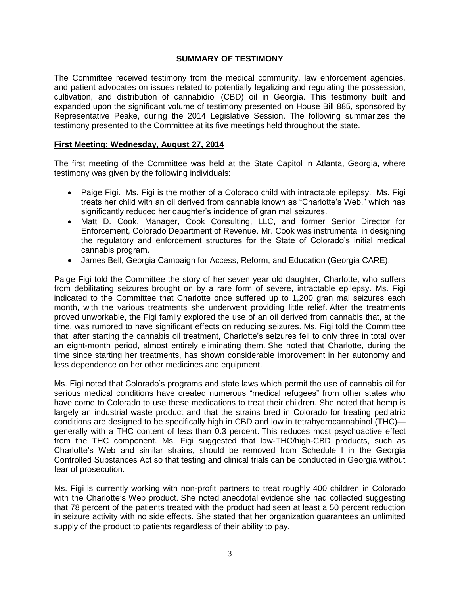### **SUMMARY OF TESTIMONY**

The Committee received testimony from the medical community, law enforcement agencies, and patient advocates on issues related to potentially legalizing and regulating the possession, cultivation, and distribution of cannabidiol (CBD) oil in Georgia. This testimony built and expanded upon the significant volume of testimony presented on House Bill 885, sponsored by Representative Peake, during the 2014 Legislative Session. The following summarizes the testimony presented to the Committee at its five meetings held throughout the state.

### **First Meeting: Wednesday, August 27, 2014**

The first meeting of the Committee was held at the State Capitol in Atlanta, Georgia, where testimony was given by the following individuals:

- Paige Figi. Ms. Figi is the mother of a Colorado child with intractable epilepsy. Ms. Figi treats her child with an oil derived from cannabis known as "Charlotte's Web," which has significantly reduced her daughter's incidence of gran mal seizures.
- Matt D. Cook, Manager, Cook Consulting, LLC, and former Senior Director for Enforcement, Colorado Department of Revenue. Mr. Cook was instrumental in designing the regulatory and enforcement structures for the State of Colorado's initial medical cannabis program.
- James Bell, Georgia Campaign for Access, Reform, and Education (Georgia CARE).

Paige Figi told the Committee the story of her seven year old daughter, Charlotte, who suffers from debilitating seizures brought on by a rare form of severe, intractable epilepsy. Ms. Figi indicated to the Committee that Charlotte once suffered up to 1,200 gran mal seizures each month, with the various treatments she underwent providing little relief. After the treatments proved unworkable, the Figi family explored the use of an oil derived from cannabis that, at the time, was rumored to have significant effects on reducing seizures. Ms. Figi told the Committee that, after starting the cannabis oil treatment, Charlotte's seizures fell to only three in total over an eight-month period, almost entirely eliminating them. She noted that Charlotte, during the time since starting her treatments, has shown considerable improvement in her autonomy and less dependence on her other medicines and equipment.

Ms. Figi noted that Colorado's programs and state laws which permit the use of cannabis oil for serious medical conditions have created numerous "medical refugees" from other states who have come to Colorado to use these medications to treat their children. She noted that hemp is largely an industrial waste product and that the strains bred in Colorado for treating pediatric conditions are designed to be specifically high in CBD and low in tetrahydrocannabinol (THC) generally with a THC content of less than 0.3 percent. This reduces most psychoactive effect from the THC component. Ms. Figi suggested that low-THC/high-CBD products, such as Charlotte's Web and similar strains, should be removed from Schedule I in the Georgia Controlled Substances Act so that testing and clinical trials can be conducted in Georgia without fear of prosecution.

Ms. Figi is currently working with non-profit partners to treat roughly 400 children in Colorado with the Charlotte's Web product. She noted anecdotal evidence she had collected suggesting that 78 percent of the patients treated with the product had seen at least a 50 percent reduction in seizure activity with no side effects. She stated that her organization guarantees an unlimited supply of the product to patients regardless of their ability to pay.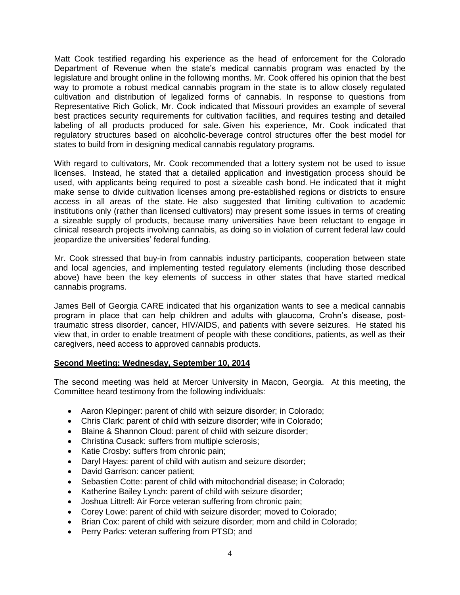Matt Cook testified regarding his experience as the head of enforcement for the Colorado Department of Revenue when the state's medical cannabis program was enacted by the legislature and brought online in the following months. Mr. Cook offered his opinion that the best way to promote a robust medical cannabis program in the state is to allow closely regulated cultivation and distribution of legalized forms of cannabis. In response to questions from Representative Rich Golick, Mr. Cook indicated that Missouri provides an example of several best practices security requirements for cultivation facilities, and requires testing and detailed labeling of all products produced for sale. Given his experience, Mr. Cook indicated that regulatory structures based on alcoholic-beverage control structures offer the best model for states to build from in designing medical cannabis regulatory programs.

With regard to cultivators, Mr. Cook recommended that a lottery system not be used to issue licenses. Instead, he stated that a detailed application and investigation process should be used, with applicants being required to post a sizeable cash bond. He indicated that it might make sense to divide cultivation licenses among pre-established regions or districts to ensure access in all areas of the state. He also suggested that limiting cultivation to academic institutions only (rather than licensed cultivators) may present some issues in terms of creating a sizeable supply of products, because many universities have been reluctant to engage in clinical research projects involving cannabis, as doing so in violation of current federal law could jeopardize the universities' federal funding.

Mr. Cook stressed that buy-in from cannabis industry participants, cooperation between state and local agencies, and implementing tested regulatory elements (including those described above) have been the key elements of success in other states that have started medical cannabis programs.

James Bell of Georgia CARE indicated that his organization wants to see a medical cannabis program in place that can help children and adults with glaucoma, Crohn's disease, posttraumatic stress disorder, cancer, HIV/AIDS, and patients with severe seizures. He stated his view that, in order to enable treatment of people with these conditions, patients, as well as their caregivers, need access to approved cannabis products.

### **Second Meeting: Wednesday, September 10, 2014**

The second meeting was held at Mercer University in Macon, Georgia. At this meeting, the Committee heard testimony from the following individuals:

- Aaron Klepinger: parent of child with seizure disorder; in Colorado;
- Chris Clark: parent of child with seizure disorder; wife in Colorado;
- Blaine & Shannon Cloud: parent of child with seizure disorder;
- Christina Cusack: suffers from multiple sclerosis;
- Katie Crosby: suffers from chronic pain;
- Daryl Hayes: parent of child with autism and seizure disorder;
- David Garrison: cancer patient;
- Sebastien Cotte: parent of child with mitochondrial disease; in Colorado;
- Katherine Bailey Lynch: parent of child with seizure disorder;
- Joshua Littrell: Air Force veteran suffering from chronic pain;
- Corey Lowe: parent of child with seizure disorder; moved to Colorado;
- Brian Cox: parent of child with seizure disorder; mom and child in Colorado;
- Perry Parks: veteran suffering from PTSD; and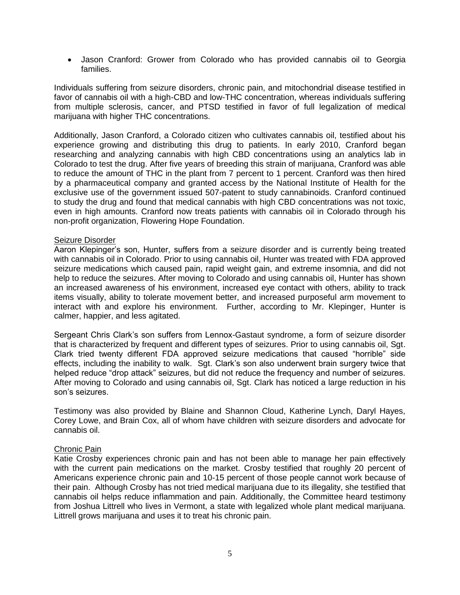Jason Cranford: Grower from Colorado who has provided cannabis oil to Georgia families.

Individuals suffering from seizure disorders, chronic pain, and mitochondrial disease testified in favor of cannabis oil with a high-CBD and low-THC concentration, whereas individuals suffering from multiple sclerosis, cancer, and PTSD testified in favor of full legalization of medical marijuana with higher THC concentrations.

Additionally, Jason Cranford, a Colorado citizen who cultivates cannabis oil, testified about his experience growing and distributing this drug to patients. In early 2010, Cranford began researching and analyzing cannabis with high CBD concentrations using an analytics lab in Colorado to test the drug. After five years of breeding this strain of marijuana, Cranford was able to reduce the amount of THC in the plant from 7 percent to 1 percent. Cranford was then hired by a pharmaceutical company and granted access by the National Institute of Health for the exclusive use of the government issued 507-patent to study cannabinoids. Cranford continued to study the drug and found that medical cannabis with high CBD concentrations was not toxic, even in high amounts. Cranford now treats patients with cannabis oil in Colorado through his non-profit organization, Flowering Hope Foundation.

#### Seizure Disorder

Aaron Klepinger's son, Hunter, suffers from a seizure disorder and is currently being treated with cannabis oil in Colorado. Prior to using cannabis oil, Hunter was treated with FDA approved seizure medications which caused pain, rapid weight gain, and extreme insomnia, and did not help to reduce the seizures. After moving to Colorado and using cannabis oil, Hunter has shown an increased awareness of his environment, increased eye contact with others, ability to track items visually, ability to tolerate movement better, and increased purposeful arm movement to interact with and explore his environment. Further, according to Mr. Klepinger, Hunter is calmer, happier, and less agitated.

Sergeant Chris Clark's son suffers from Lennox-Gastaut syndrome, a form of seizure disorder that is characterized by frequent and different types of seizures. Prior to using cannabis oil, Sgt. Clark tried twenty different FDA approved seizure medications that caused "horrible" side effects, including the inability to walk. Sgt. Clark's son also underwent brain surgery twice that helped reduce "drop attack" seizures, but did not reduce the frequency and number of seizures. After moving to Colorado and using cannabis oil, Sgt. Clark has noticed a large reduction in his son's seizures.

Testimony was also provided by Blaine and Shannon Cloud, Katherine Lynch, Daryl Hayes, Corey Lowe, and Brain Cox, all of whom have children with seizure disorders and advocate for cannabis oil.

#### Chronic Pain

Katie Crosby experiences chronic pain and has not been able to manage her pain effectively with the current pain medications on the market. Crosby testified that roughly 20 percent of Americans experience chronic pain and 10-15 percent of those people cannot work because of their pain. Although Crosby has not tried medical marijuana due to its illegality, she testified that cannabis oil helps reduce inflammation and pain. Additionally, the Committee heard testimony from Joshua Littrell who lives in Vermont, a state with legalized whole plant medical marijuana. Littrell grows marijuana and uses it to treat his chronic pain.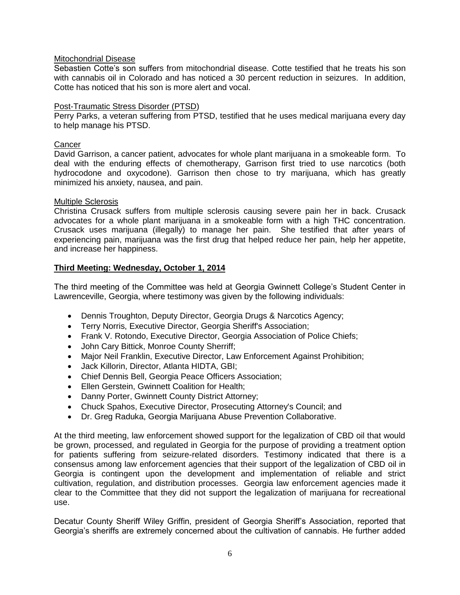### Mitochondrial Disease

Sebastien Cotte's son suffers from mitochondrial disease. Cotte testified that he treats his son with cannabis oil in Colorado and has noticed a 30 percent reduction in seizures. In addition, Cotte has noticed that his son is more alert and vocal.

#### Post-Traumatic Stress Disorder (PTSD)

Perry Parks, a veteran suffering from PTSD, testified that he uses medical marijuana every day to help manage his PTSD.

#### **Cancer**

David Garrison, a cancer patient, advocates for whole plant marijuana in a smokeable form. To deal with the enduring effects of chemotherapy, Garrison first tried to use narcotics (both hydrocodone and oxycodone). Garrison then chose to try marijuana, which has greatly minimized his anxiety, nausea, and pain.

### Multiple Sclerosis

Christina Crusack suffers from multiple sclerosis causing severe pain her in back. Crusack advocates for a whole plant marijuana in a smokeable form with a high THC concentration. Crusack uses marijuana (illegally) to manage her pain. She testified that after years of experiencing pain, marijuana was the first drug that helped reduce her pain, help her appetite, and increase her happiness.

### **Third Meeting: Wednesday, October 1, 2014**

The third meeting of the Committee was held at Georgia Gwinnett College's Student Center in Lawrenceville, Georgia, where testimony was given by the following individuals:

- Dennis Troughton, Deputy Director, Georgia Drugs & Narcotics Agency;
- Terry Norris, Executive Director, Georgia Sheriff's Association;
- Frank V. Rotondo, Executive Director, Georgia Association of Police Chiefs;
- John Cary Bittick, Monroe County Sherriff;
- Major Neil Franklin, Executive Director, Law Enforcement Against Prohibition;
- Jack Killorin, Director, Atlanta HIDTA, GBI;
- Chief Dennis Bell, Georgia Peace Officers Association;
- Ellen Gerstein, Gwinnett Coalition for Health;
- Danny Porter, Gwinnett County District Attorney;
- Chuck Spahos, Executive Director, Prosecuting Attorney's Council; and
- Dr. Greg Raduka, Georgia Marijuana Abuse Prevention Collaborative.

At the third meeting, law enforcement showed support for the legalization of CBD oil that would be grown, processed, and regulated in Georgia for the purpose of providing a treatment option for patients suffering from seizure-related disorders. Testimony indicated that there is a consensus among law enforcement agencies that their support of the legalization of CBD oil in Georgia is contingent upon the development and implementation of reliable and strict cultivation, regulation, and distribution processes. Georgia law enforcement agencies made it clear to the Committee that they did not support the legalization of marijuana for recreational use.

Decatur County Sheriff Wiley Griffin, president of Georgia Sheriff's Association, reported that Georgia's sheriffs are extremely concerned about the cultivation of cannabis. He further added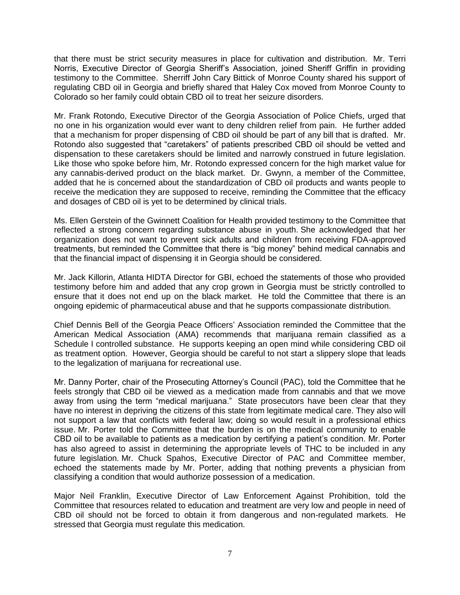that there must be strict security measures in place for cultivation and distribution. Mr. Terri Norris, Executive Director of Georgia Sheriff's Association, joined Sheriff Griffin in providing testimony to the Committee. Sherriff John Cary Bittick of Monroe County shared his support of regulating CBD oil in Georgia and briefly shared that Haley Cox moved from Monroe County to Colorado so her family could obtain CBD oil to treat her seizure disorders.

Mr. Frank Rotondo, Executive Director of the Georgia Association of Police Chiefs, urged that no one in his organization would ever want to deny children relief from pain. He further added that a mechanism for proper dispensing of CBD oil should be part of any bill that is drafted. Mr. Rotondo also suggested that "caretakers" of patients prescribed CBD oil should be vetted and dispensation to these caretakers should be limited and narrowly construed in future legislation. Like those who spoke before him, Mr. Rotondo expressed concern for the high market value for any cannabis-derived product on the black market. Dr. Gwynn, a member of the Committee, added that he is concerned about the standardization of CBD oil products and wants people to receive the medication they are supposed to receive, reminding the Committee that the efficacy and dosages of CBD oil is yet to be determined by clinical trials.

Ms. Ellen Gerstein of the Gwinnett Coalition for Health provided testimony to the Committee that reflected a strong concern regarding substance abuse in youth. She acknowledged that her organization does not want to prevent sick adults and children from receiving FDA-approved treatments, but reminded the Committee that there is "big money" behind medical cannabis and that the financial impact of dispensing it in Georgia should be considered.

Mr. Jack Killorin, Atlanta HIDTA Director for GBI, echoed the statements of those who provided testimony before him and added that any crop grown in Georgia must be strictly controlled to ensure that it does not end up on the black market. He told the Committee that there is an ongoing epidemic of pharmaceutical abuse and that he supports compassionate distribution.

Chief Dennis Bell of the Georgia Peace Officers' Association reminded the Committee that the American Medical Association (AMA) recommends that marijuana remain classified as a Schedule I controlled substance. He supports keeping an open mind while considering CBD oil as treatment option. However, Georgia should be careful to not start a slippery slope that leads to the legalization of marijuana for recreational use.

Mr. Danny Porter, chair of the Prosecuting Attorney's Council (PAC), told the Committee that he feels strongly that CBD oil be viewed as a medication made from cannabis and that we move away from using the term "medical marijuana." State prosecutors have been clear that they have no interest in depriving the citizens of this state from legitimate medical care. They also will not support a law that conflicts with federal law; doing so would result in a professional ethics issue. Mr. Porter told the Committee that the burden is on the medical community to enable CBD oil to be available to patients as a medication by certifying a patient's condition. Mr. Porter has also agreed to assist in determining the appropriate levels of THC to be included in any future legislation. Mr. Chuck Spahos, Executive Director of PAC and Committee member, echoed the statements made by Mr. Porter, adding that nothing prevents a physician from classifying a condition that would authorize possession of a medication.

Major Neil Franklin, Executive Director of Law Enforcement Against Prohibition, told the Committee that resources related to education and treatment are very low and people in need of CBD oil should not be forced to obtain it from dangerous and non-regulated markets. He stressed that Georgia must regulate this medication.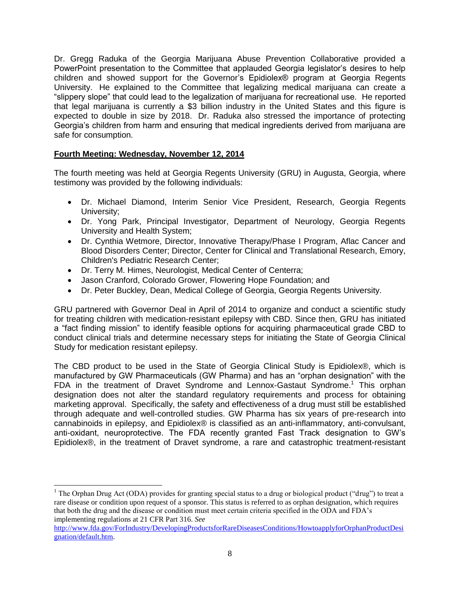Dr. Gregg Raduka of the Georgia Marijuana Abuse Prevention Collaborative provided a PowerPoint presentation to the Committee that applauded Georgia legislator's desires to help children and showed support for the Governor's Epidiolex® program at Georgia Regents University. He explained to the Committee that legalizing medical marijuana can create a "slippery slope" that could lead to the legalization of marijuana for recreational use. He reported that legal marijuana is currently a \$3 billion industry in the United States and this figure is expected to double in size by 2018. Dr. Raduka also stressed the importance of protecting Georgia's children from harm and ensuring that medical ingredients derived from marijuana are safe for consumption.

## **Fourth Meeting: Wednesday, November 12, 2014**

l

The fourth meeting was held at Georgia Regents University (GRU) in Augusta, Georgia, where testimony was provided by the following individuals:

- Dr. Michael Diamond, Interim Senior Vice President, Research, Georgia Regents University;
- Dr. Yong Park, Principal Investigator, Department of Neurology, Georgia Regents University and Health System;
- Dr. Cynthia Wetmore, Director, Innovative Therapy/Phase I Program, Aflac Cancer and Blood Disorders Center; Director, Center for Clinical and Translational Research, Emory, Children's Pediatric Research Center;
- Dr. Terry M. Himes, Neurologist, Medical Center of Centerra;
- Jason Cranford, Colorado Grower, Flowering Hope Foundation; and
- Dr. Peter Buckley, Dean, Medical College of Georgia, Georgia Regents University.

GRU partnered with Governor Deal in April of 2014 to organize and conduct a scientific study for treating children with medication-resistant epilepsy with CBD. Since then, GRU has initiated a "fact finding mission" to identify feasible options for acquiring pharmaceutical grade CBD to conduct clinical trials and determine necessary steps for initiating the State of Georgia Clinical Study for medication resistant epilepsy.

The CBD product to be used in the State of Georgia Clinical Study is Epidiolex®, which is manufactured by GW Pharmaceuticals (GW Pharma) and has an "orphan designation" with the FDA in the treatment of Dravet Syndrome and Lennox-Gastaut Syndrome.<sup>1</sup> This orphan designation does not alter the standard regulatory requirements and process for obtaining marketing approval. Specifically, the safety and effectiveness of a drug must still be established through adequate and well-controlled studies. GW Pharma has six years of pre-research into cannabinoids in epilepsy, and Epidiolex® is classified as an anti-inflammatory, anti-convulsant, anti-oxidant, neuroprotective. The FDA recently granted Fast Track designation to GW's Epidiolex®, in the treatment of Dravet syndrome, a rare and catastrophic treatment-resistant

<sup>1</sup> The Orphan Drug Act (ODA) provides for granting special status to a drug or biological product ("drug") to treat a rare disease or condition upon request of a sponsor. This status is referred to as orphan designation, which requires that both the drug and the disease or condition must meet certain criteria specified in the ODA and FDA's implementing regulations at 21 CFR Part 316. *See*

[http://www.fda.gov/ForIndustry/DevelopingProductsforRareDiseasesConditions/HowtoapplyforOrphanProductDesi](http://www.fda.gov/ForIndustry/DevelopingProductsforRareDiseasesConditions/HowtoapplyforOrphanProductDesignation/default.htm) [gnation/default.htm.](http://www.fda.gov/ForIndustry/DevelopingProductsforRareDiseasesConditions/HowtoapplyforOrphanProductDesignation/default.htm)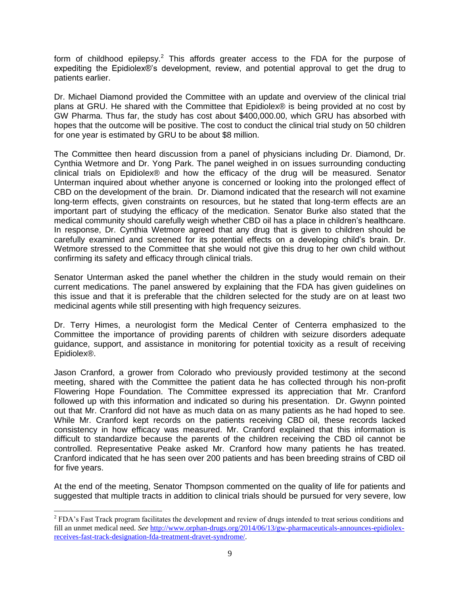form of childhood epilepsy.<sup>2</sup> This affords greater access to the FDA for the purpose of expediting the Epidiolex®'s development, review, and potential approval to get the drug to patients earlier.

Dr. Michael Diamond provided the Committee with an update and overview of the clinical trial plans at GRU. He shared with the Committee that Epidiolex® is being provided at no cost by GW Pharma. Thus far, the study has cost about \$400,000.00, which GRU has absorbed with hopes that the outcome will be positive. The cost to conduct the clinical trial study on 50 children for one year is estimated by GRU to be about \$8 million.

The Committee then heard discussion from a panel of physicians including Dr. Diamond, Dr. Cynthia Wetmore and Dr. Yong Park. The panel weighed in on issues surrounding conducting clinical trials on Epidiolex® and how the efficacy of the drug will be measured. Senator Unterman inquired about whether anyone is concerned or looking into the prolonged effect of CBD on the development of the brain. Dr. Diamond indicated that the research will not examine long-term effects, given constraints on resources, but he stated that long-term effects are an important part of studying the efficacy of the medication. Senator Burke also stated that the medical community should carefully weigh whether CBD oil has a place in children's healthcare. In response, Dr. Cynthia Wetmore agreed that any drug that is given to children should be carefully examined and screened for its potential effects on a developing child's brain. Dr. Wetmore stressed to the Committee that she would not give this drug to her own child without confirming its safety and efficacy through clinical trials.

Senator Unterman asked the panel whether the children in the study would remain on their current medications. The panel answered by explaining that the FDA has given guidelines on this issue and that it is preferable that the children selected for the study are on at least two medicinal agents while still presenting with high frequency seizures.

Dr. Terry Himes, a neurologist form the Medical Center of Centerra emphasized to the Committee the importance of providing parents of children with seizure disorders adequate guidance, support, and assistance in monitoring for potential toxicity as a result of receiving Epidiolex®.

Jason Cranford, a grower from Colorado who previously provided testimony at the second meeting, shared with the Committee the patient data he has collected through his non-profit Flowering Hope Foundation. The Committee expressed its appreciation that Mr. Cranford followed up with this information and indicated so during his presentation. Dr. Gwynn pointed out that Mr. Cranford did not have as much data on as many patients as he had hoped to see. While Mr. Cranford kept records on the patients receiving CBD oil, these records lacked consistency in how efficacy was measured. Mr. Cranford explained that this information is difficult to standardize because the parents of the children receiving the CBD oil cannot be controlled. Representative Peake asked Mr. Cranford how many patients he has treated. Cranford indicated that he has seen over 200 patients and has been breeding strains of CBD oil for five years.

At the end of the meeting, Senator Thompson commented on the quality of life for patients and suggested that multiple tracts in addition to clinical trials should be pursued for very severe, low

l  $2$  FDA's Fast Track program facilitates the development and review of drugs intended to treat serious conditions and fill an unmet medical need. *See* [http://www.orphan-drugs.org/2014/06/13/gw-pharmaceuticals-announces-epidiolex](http://www.orphan-drugs.org/2014/06/13/gw-pharmaceuticals-announces-epidiolex-receives-fast-track-designation-fda-treatment-dravet-syndrome/)[receives-fast-track-designation-fda-treatment-dravet-syndrome/.](http://www.orphan-drugs.org/2014/06/13/gw-pharmaceuticals-announces-epidiolex-receives-fast-track-designation-fda-treatment-dravet-syndrome/)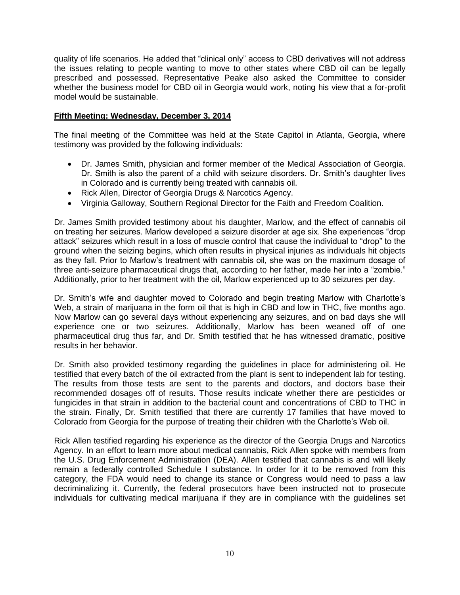quality of life scenarios. He added that "clinical only" access to CBD derivatives will not address the issues relating to people wanting to move to other states where CBD oil can be legally prescribed and possessed. Representative Peake also asked the Committee to consider whether the business model for CBD oil in Georgia would work, noting his view that a for-profit model would be sustainable.

### **Fifth Meeting: Wednesday, December 3, 2014**

The final meeting of the Committee was held at the State Capitol in Atlanta, Georgia, where testimony was provided by the following individuals:

- Dr. James Smith, physician and former member of the Medical Association of Georgia. Dr. Smith is also the parent of a child with seizure disorders. Dr. Smith's daughter lives in Colorado and is currently being treated with cannabis oil.
- Rick Allen, Director of Georgia Drugs & Narcotics Agency.
- Virginia Galloway, Southern Regional Director for the Faith and Freedom Coalition.

Dr. James Smith provided testimony about his daughter, Marlow, and the effect of cannabis oil on treating her seizures. Marlow developed a seizure disorder at age six. She experiences "drop attack" seizures which result in a loss of muscle control that cause the individual to "drop" to the ground when the seizing begins, which often results in physical injuries as individuals hit objects as they fall. Prior to Marlow's treatment with cannabis oil, she was on the maximum dosage of three anti-seizure pharmaceutical drugs that, according to her father, made her into a "zombie." Additionally, prior to her treatment with the oil, Marlow experienced up to 30 seizures per day.

Dr. Smith's wife and daughter moved to Colorado and begin treating Marlow with Charlotte's Web, a strain of marijuana in the form oil that is high in CBD and low in THC, five months ago. Now Marlow can go several days without experiencing any seizures, and on bad days she will experience one or two seizures. Additionally, Marlow has been weaned off of one pharmaceutical drug thus far, and Dr. Smith testified that he has witnessed dramatic, positive results in her behavior.

Dr. Smith also provided testimony regarding the guidelines in place for administering oil. He testified that every batch of the oil extracted from the plant is sent to independent lab for testing. The results from those tests are sent to the parents and doctors, and doctors base their recommended dosages off of results. Those results indicate whether there are pesticides or fungicides in that strain in addition to the bacterial count and concentrations of CBD to THC in the strain. Finally, Dr. Smith testified that there are currently 17 families that have moved to Colorado from Georgia for the purpose of treating their children with the Charlotte's Web oil.

Rick Allen testified regarding his experience as the director of the Georgia Drugs and Narcotics Agency. In an effort to learn more about medical cannabis, Rick Allen spoke with members from the U.S. Drug Enforcement Administration (DEA). Allen testified that cannabis is and will likely remain a federally controlled Schedule I substance. In order for it to be removed from this category, the FDA would need to change its stance or Congress would need to pass a law decriminalizing it. Currently, the federal prosecutors have been instructed not to prosecute individuals for cultivating medical marijuana if they are in compliance with the guidelines set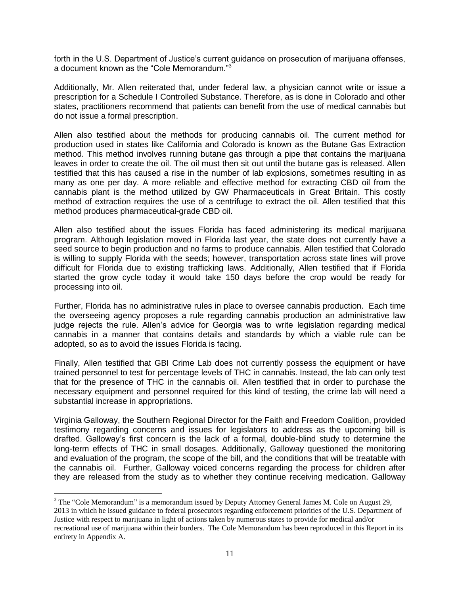forth in the U.S. Department of Justice's current guidance on prosecution of marijuana offenses, a document known as the "Cole Memorandum."<sup>3</sup>

Additionally, Mr. Allen reiterated that, under federal law, a physician cannot write or issue a prescription for a Schedule I Controlled Substance. Therefore, as is done in Colorado and other states, practitioners recommend that patients can benefit from the use of medical cannabis but do not issue a formal prescription.

Allen also testified about the methods for producing cannabis oil. The current method for production used in states like California and Colorado is known as the Butane Gas Extraction method. This method involves running butane gas through a pipe that contains the marijuana leaves in order to create the oil. The oil must then sit out until the butane gas is released. Allen testified that this has caused a rise in the number of lab explosions, sometimes resulting in as many as one per day. A more reliable and effective method for extracting CBD oil from the cannabis plant is the method utilized by GW Pharmaceuticals in Great Britain. This costly method of extraction requires the use of a centrifuge to extract the oil. Allen testified that this method produces pharmaceutical-grade CBD oil.

Allen also testified about the issues Florida has faced administering its medical marijuana program. Although legislation moved in Florida last year, the state does not currently have a seed source to begin production and no farms to produce cannabis. Allen testified that Colorado is willing to supply Florida with the seeds; however, transportation across state lines will prove difficult for Florida due to existing trafficking laws. Additionally, Allen testified that if Florida started the grow cycle today it would take 150 days before the crop would be ready for processing into oil.

Further, Florida has no administrative rules in place to oversee cannabis production. Each time the overseeing agency proposes a rule regarding cannabis production an administrative law judge rejects the rule. Allen's advice for Georgia was to write legislation regarding medical cannabis in a manner that contains details and standards by which a viable rule can be adopted, so as to avoid the issues Florida is facing.

Finally, Allen testified that GBI Crime Lab does not currently possess the equipment or have trained personnel to test for percentage levels of THC in cannabis. Instead, the lab can only test that for the presence of THC in the cannabis oil. Allen testified that in order to purchase the necessary equipment and personnel required for this kind of testing, the crime lab will need a substantial increase in appropriations.

Virginia Galloway, the Southern Regional Director for the Faith and Freedom Coalition, provided testimony regarding concerns and issues for legislators to address as the upcoming bill is drafted. Galloway's first concern is the lack of a formal, double-blind study to determine the long-term effects of THC in small dosages. Additionally, Galloway questioned the monitoring and evaluation of the program, the scope of the bill, and the conditions that will be treatable with the cannabis oil. Further, Galloway voiced concerns regarding the process for children after they are released from the study as to whether they continue receiving medication. Galloway

 $\overline{\phantom{a}}$ 

 $3$  The "Cole Memorandum" is a memorandum issued by Deputy Attorney General James M. Cole on August 29, 2013 in which he issued guidance to federal prosecutors regarding enforcement priorities of the U.S. Department of Justice with respect to marijuana in light of actions taken by numerous states to provide for medical and/or recreational use of marijuana within their borders. The Cole Memorandum has been reproduced in this Report in its entirety in Appendix A.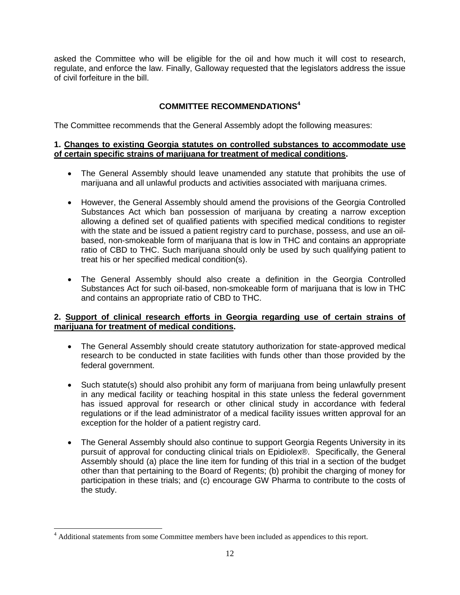asked the Committee who will be eligible for the oil and how much it will cost to research, regulate, and enforce the law. Finally, Galloway requested that the legislators address the issue of civil forfeiture in the bill.

# **COMMITTEE RECOMMENDATIONS<sup>4</sup>**

The Committee recommends that the General Assembly adopt the following measures:

### **1. Changes to existing Georgia statutes on controlled substances to accommodate use of certain specific strains of marijuana for treatment of medical conditions.**

- The General Assembly should leave unamended any statute that prohibits the use of marijuana and all unlawful products and activities associated with marijuana crimes.
- However, the General Assembly should amend the provisions of the Georgia Controlled Substances Act which ban possession of marijuana by creating a narrow exception allowing a defined set of qualified patients with specified medical conditions to register with the state and be issued a patient registry card to purchase, possess, and use an oilbased, non-smokeable form of marijuana that is low in THC and contains an appropriate ratio of CBD to THC. Such marijuana should only be used by such qualifying patient to treat his or her specified medical condition(s).
- The General Assembly should also create a definition in the Georgia Controlled Substances Act for such oil-based, non-smokeable form of marijuana that is low in THC and contains an appropriate ratio of CBD to THC.

### **2. Support of clinical research efforts in Georgia regarding use of certain strains of marijuana for treatment of medical conditions.**

- The General Assembly should create statutory authorization for state-approved medical research to be conducted in state facilities with funds other than those provided by the federal government.
- Such statute(s) should also prohibit any form of marijuana from being unlawfully present in any medical facility or teaching hospital in this state unless the federal government has issued approval for research or other clinical study in accordance with federal regulations or if the lead administrator of a medical facility issues written approval for an exception for the holder of a patient registry card.
- The General Assembly should also continue to support Georgia Regents University in its pursuit of approval for conducting clinical trials on Epidiolex®. Specifically, the General Assembly should (a) place the line item for funding of this trial in a section of the budget other than that pertaining to the Board of Regents; (b) prohibit the charging of money for participation in these trials; and (c) encourage GW Pharma to contribute to the costs of the study.

 $\overline{\phantom{a}}$ 

<sup>&</sup>lt;sup>4</sup> Additional statements from some Committee members have been included as appendices to this report.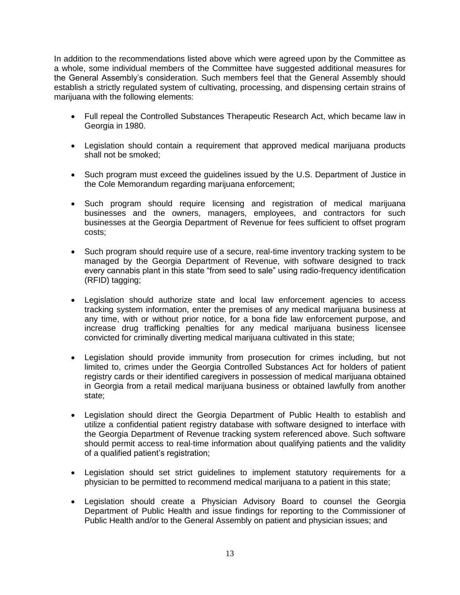In addition to the recommendations listed above which were agreed upon by the Committee as a whole, some individual members of the Committee have suggested additional measures for the General Assembly's consideration. Such members feel that the General Assembly should establish a strictly regulated system of cultivating, processing, and dispensing certain strains of marijuana with the following elements:

- Full repeal the Controlled Substances Therapeutic Research Act, which became law in Georgia in 1980.
- Legislation should contain a requirement that approved medical marijuana products shall not be smoked;
- Such program must exceed the guidelines issued by the U.S. Department of Justice in the Cole Memorandum regarding marijuana enforcement;
- Such program should require licensing and registration of medical marijuana businesses and the owners, managers, employees, and contractors for such businesses at the Georgia Department of Revenue for fees sufficient to offset program costs;
- Such program should require use of a secure, real-time inventory tracking system to be managed by the Georgia Department of Revenue, with software designed to track every cannabis plant in this state "from seed to sale" using radio-frequency identification (RFID) tagging;
- Legislation should authorize state and local law enforcement agencies to access tracking system information, enter the premises of any medical marijuana business at any time, with or without prior notice, for a bona fide law enforcement purpose, and increase drug trafficking penalties for any medical marijuana business licensee convicted for criminally diverting medical marijuana cultivated in this state;
- Legislation should provide immunity from prosecution for crimes including, but not limited to, crimes under the Georgia Controlled Substances Act for holders of patient registry cards or their identified caregivers in possession of medical marijuana obtained in Georgia from a retail medical marijuana business or obtained lawfully from another state;
- Legislation should direct the Georgia Department of Public Health to establish and utilize a confidential patient registry database with software designed to interface with the Georgia Department of Revenue tracking system referenced above. Such software should permit access to real-time information about qualifying patients and the validity of a qualified patient's registration;
- Legislation should set strict guidelines to implement statutory requirements for a physician to be permitted to recommend medical marijuana to a patient in this state;
- Legislation should create a Physician Advisory Board to counsel the Georgia Department of Public Health and issue findings for reporting to the Commissioner of Public Health and/or to the General Assembly on patient and physician issues; and